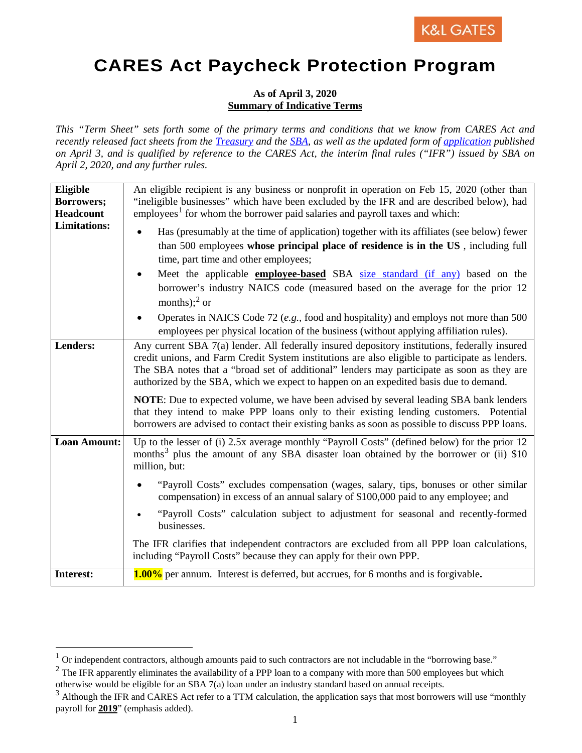## **CARES Act Paycheck Protection Program**

## **As of April 3, 2020 Summary of Indicative Terms**

*This "Term Sheet" sets forth some of the primary terms and conditions that we know from CARES Act and recently released fact sheets from the [Treasury](https://home.treasury.gov/system/files/136/PPP%20Lender%20Information%20Fact%20Sheet.pdf) and the [SBA,](https://www.sba.gov/funding-programs/loans/paycheck-protection-program-ppp) as well as the updated form of [application](https://home.treasury.gov/system/files/136/Paycheck-Protection-Program-Application-3-30-2020-v3.pdf) published on April 3, and is qualified by reference to the CARES Act, the interim final rules ("IFR") issued by SBA on April 2, 2020, and any further rules.*

| Eligible<br>Borrowers;<br>Headcount | An eligible recipient is any business or nonprofit in operation on Feb 15, 2020 (other than<br>"ineligible businesses" which have been excluded by the IFR and are described below), had<br>employees <sup>1</sup> for whom the borrower paid salaries and payroll taxes and which:                                                                                                             |
|-------------------------------------|-------------------------------------------------------------------------------------------------------------------------------------------------------------------------------------------------------------------------------------------------------------------------------------------------------------------------------------------------------------------------------------------------|
| <b>Limitations:</b>                 | Has (presumably at the time of application) together with its affiliates (see below) fewer<br>than 500 employees whose principal place of residence is in the US, including full<br>time, part time and other employees;<br>Meet the applicable <b>employee-based</b> SBA size standard (if any) based on the<br>borrower's industry NAICS code (measured based on the average for the prior 12 |
|                                     | months); $^{2}$ or<br>Operates in NAICS Code 72 ( <i>e.g.</i> , food and hospitality) and employs not more than 500<br>employees per physical location of the business (without applying affiliation rules).                                                                                                                                                                                    |
| <b>Lenders:</b>                     | Any current SBA 7(a) lender. All federally insured depository institutions, federally insured<br>credit unions, and Farm Credit System institutions are also eligible to participate as lenders.<br>The SBA notes that a "broad set of additional" lenders may participate as soon as they are<br>authorized by the SBA, which we expect to happen on an expedited basis due to demand.         |
|                                     | <b>NOTE:</b> Due to expected volume, we have been advised by several leading SBA bank lenders<br>that they intend to make PPP loans only to their existing lending customers. Potential<br>borrowers are advised to contact their existing banks as soon as possible to discuss PPP loans.                                                                                                      |
| <b>Loan Amount:</b>                 | Up to the lesser of (i) 2.5x average monthly "Payroll Costs" (defined below) for the prior 12<br>months <sup>3</sup> plus the amount of any SBA disaster loan obtained by the borrower or (ii) \$10<br>million, but:                                                                                                                                                                            |
|                                     | "Payroll Costs" excludes compensation (wages, salary, tips, bonuses or other similar<br>compensation) in excess of an annual salary of \$100,000 paid to any employee; and                                                                                                                                                                                                                      |
|                                     | "Payroll Costs" calculation subject to adjustment for seasonal and recently-formed<br>businesses.                                                                                                                                                                                                                                                                                               |
|                                     | The IFR clarifies that independent contractors are excluded from all PPP loan calculations,<br>including "Payroll Costs" because they can apply for their own PPP.                                                                                                                                                                                                                              |
| Interest:                           | 1.00% per annum. Interest is deferred, but accrues, for 6 months and is forgivable.                                                                                                                                                                                                                                                                                                             |

<span id="page-0-0"></span><sup>&</sup>lt;sup>1</sup> Or independent contractors, although amounts paid to such contractors are not includable in the "borrowing base."

<span id="page-0-1"></span> $2$  The IFR apparently eliminates the availability of a PPP loan to a company with more than 500 employees but which otherwise would be eligible for an SBA 7(a) loan under an industry standard based on annual receipts.

<span id="page-0-2"></span> $3$  Although the IFR and CARES Act refer to a TTM calculation, the application says that most borrowers will use "monthly payroll for **2019**" (emphasis added).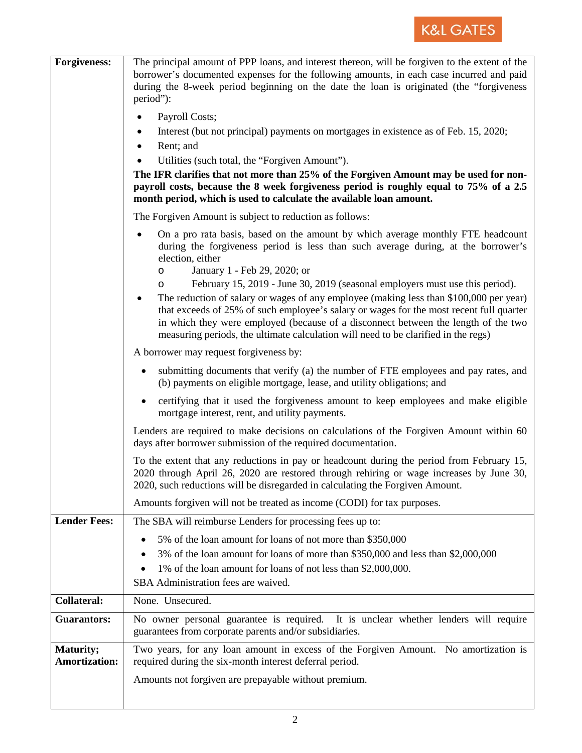

| <b>Forgiveness:</b>               | The principal amount of PPP loans, and interest thereon, will be forgiven to the extent of the<br>borrower's documented expenses for the following amounts, in each case incurred and paid<br>during the 8-week period beginning on the date the loan is originated (the "forgiveness"<br>period"):<br>Payroll Costs;<br>Interest (but not principal) payments on mortgages in existence as of Feb. 15, 2020;<br>٠<br>Rent; and<br>$\bullet$<br>Utilities (such total, the "Forgiven Amount").<br>$\bullet$<br>The IFR clarifies that not more than 25% of the Forgiven Amount may be used for non-                                                                                             |
|-----------------------------------|-------------------------------------------------------------------------------------------------------------------------------------------------------------------------------------------------------------------------------------------------------------------------------------------------------------------------------------------------------------------------------------------------------------------------------------------------------------------------------------------------------------------------------------------------------------------------------------------------------------------------------------------------------------------------------------------------|
|                                   | payroll costs, because the 8 week forgiveness period is roughly equal to 75% of a 2.5<br>month period, which is used to calculate the available loan amount.                                                                                                                                                                                                                                                                                                                                                                                                                                                                                                                                    |
|                                   | The Forgiven Amount is subject to reduction as follows:                                                                                                                                                                                                                                                                                                                                                                                                                                                                                                                                                                                                                                         |
|                                   | On a pro rata basis, based on the amount by which average monthly FTE headcount<br>during the forgiveness period is less than such average during, at the borrower's<br>election, either<br>January 1 - Feb 29, 2020; or<br>$\circ$<br>February 15, 2019 - June 30, 2019 (seasonal employers must use this period).<br>$\circ$<br>The reduction of salary or wages of any employee (making less than \$100,000 per year)<br>that exceeds of 25% of such employee's salary or wages for the most recent full quarter<br>in which they were employed (because of a disconnect between the length of the two<br>measuring periods, the ultimate calculation will need to be clarified in the regs) |
|                                   | A borrower may request for giveness by:                                                                                                                                                                                                                                                                                                                                                                                                                                                                                                                                                                                                                                                         |
|                                   | submitting documents that verify (a) the number of FTE employees and pay rates, and<br>$\bullet$<br>(b) payments on eligible mortgage, lease, and utility obligations; and                                                                                                                                                                                                                                                                                                                                                                                                                                                                                                                      |
|                                   | certifying that it used the forgiveness amount to keep employees and make eligible<br>$\bullet$<br>mortgage interest, rent, and utility payments.                                                                                                                                                                                                                                                                                                                                                                                                                                                                                                                                               |
|                                   | Lenders are required to make decisions on calculations of the Forgiven Amount within 60<br>days after borrower submission of the required documentation.                                                                                                                                                                                                                                                                                                                                                                                                                                                                                                                                        |
|                                   | To the extent that any reductions in pay or headcount during the period from February 15,<br>2020 through April 26, 2020 are restored through rehiring or wage increases by June 30,<br>2020, such reductions will be disregarded in calculating the Forgiven Amount.                                                                                                                                                                                                                                                                                                                                                                                                                           |
|                                   | Amounts forgiven will not be treated as income (CODI) for tax purposes.                                                                                                                                                                                                                                                                                                                                                                                                                                                                                                                                                                                                                         |
| <b>Lender Fees:</b>               | The SBA will reimburse Lenders for processing fees up to:                                                                                                                                                                                                                                                                                                                                                                                                                                                                                                                                                                                                                                       |
|                                   | 5% of the loan amount for loans of not more than \$350,000<br>3% of the loan amount for loans of more than \$350,000 and less than \$2,000,000<br>1% of the loan amount for loans of not less than \$2,000,000.<br>SBA Administration fees are waived.                                                                                                                                                                                                                                                                                                                                                                                                                                          |
| <b>Collateral:</b>                | None. Unsecured.                                                                                                                                                                                                                                                                                                                                                                                                                                                                                                                                                                                                                                                                                |
| <b>Guarantors:</b>                | No owner personal guarantee is required. It is unclear whether lenders will require<br>guarantees from corporate parents and/or subsidiaries.                                                                                                                                                                                                                                                                                                                                                                                                                                                                                                                                                   |
| Maturity;<br><b>Amortization:</b> | Two years, for any loan amount in excess of the Forgiven Amount. No amortization is<br>required during the six-month interest deferral period.                                                                                                                                                                                                                                                                                                                                                                                                                                                                                                                                                  |
|                                   | Amounts not forgiven are prepayable without premium.                                                                                                                                                                                                                                                                                                                                                                                                                                                                                                                                                                                                                                            |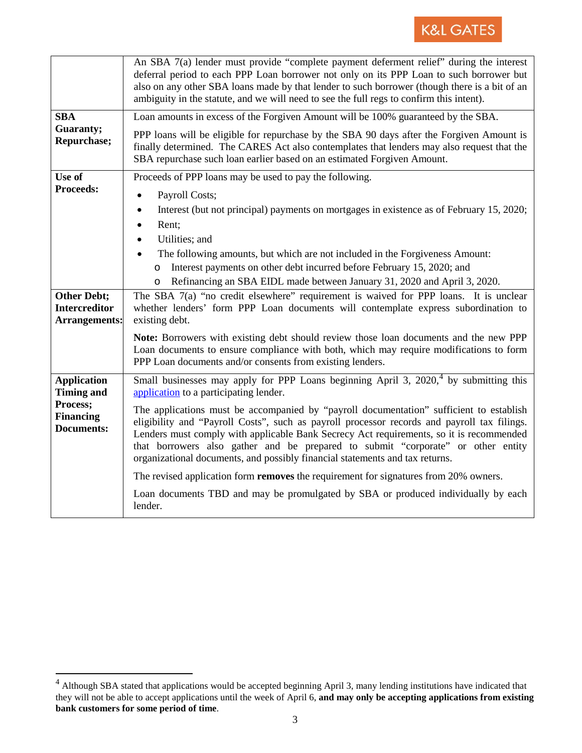

|                                                                                              | An SBA 7(a) lender must provide "complete payment deferment relief" during the interest<br>deferral period to each PPP Loan borrower not only on its PPP Loan to such borrower but<br>also on any other SBA loans made by that lender to such borrower (though there is a bit of an<br>ambiguity in the statute, and we will need to see the full regs to confirm this intent).                                                                       |
|----------------------------------------------------------------------------------------------|-------------------------------------------------------------------------------------------------------------------------------------------------------------------------------------------------------------------------------------------------------------------------------------------------------------------------------------------------------------------------------------------------------------------------------------------------------|
| <b>SBA</b><br>Guaranty;<br>Repurchase;                                                       | Loan amounts in excess of the Forgiven Amount will be 100% guaranteed by the SBA.                                                                                                                                                                                                                                                                                                                                                                     |
|                                                                                              | PPP loans will be eligible for repurchase by the SBA 90 days after the Forgiven Amount is<br>finally determined. The CARES Act also contemplates that lenders may also request that the<br>SBA repurchase such loan earlier based on an estimated Forgiven Amount.                                                                                                                                                                                    |
| Use of<br><b>Proceeds:</b>                                                                   | Proceeds of PPP loans may be used to pay the following.                                                                                                                                                                                                                                                                                                                                                                                               |
|                                                                                              | Payroll Costs;<br>$\bullet$                                                                                                                                                                                                                                                                                                                                                                                                                           |
|                                                                                              | Interest (but not principal) payments on mortgages in existence as of February 15, 2020;<br>$\bullet$<br>Rent;<br>$\bullet$                                                                                                                                                                                                                                                                                                                           |
|                                                                                              | Utilities; and<br>$\bullet$                                                                                                                                                                                                                                                                                                                                                                                                                           |
|                                                                                              | The following amounts, but which are not included in the Forgiveness Amount:                                                                                                                                                                                                                                                                                                                                                                          |
|                                                                                              | Interest payments on other debt incurred before February 15, 2020; and<br>O                                                                                                                                                                                                                                                                                                                                                                           |
|                                                                                              | Refinancing an SBA EIDL made between January 31, 2020 and April 3, 2020.<br>$\circ$                                                                                                                                                                                                                                                                                                                                                                   |
| <b>Other Debt;</b><br><b>Intercreditor</b>                                                   | The SBA 7(a) "no credit elsewhere" requirement is waived for PPP loans. It is unclear<br>whether lenders' form PPP Loan documents will contemplate express subordination to                                                                                                                                                                                                                                                                           |
| <b>Arrangements:</b>                                                                         | existing debt.                                                                                                                                                                                                                                                                                                                                                                                                                                        |
|                                                                                              | Note: Borrowers with existing debt should review those loan documents and the new PPP<br>Loan documents to ensure compliance with both, which may require modifications to form                                                                                                                                                                                                                                                                       |
|                                                                                              | PPP Loan documents and/or consents from existing lenders.                                                                                                                                                                                                                                                                                                                                                                                             |
| <b>Application</b><br><b>Timing and</b><br>Process;<br><b>Financing</b><br><b>Documents:</b> | Small businesses may apply for PPP Loans beginning April 3, 2020, <sup>4</sup> by submitting this<br>application to a participating lender.                                                                                                                                                                                                                                                                                                           |
|                                                                                              | The applications must be accompanied by "payroll documentation" sufficient to establish<br>eligibility and "Payroll Costs", such as payroll processor records and payroll tax filings.<br>Lenders must comply with applicable Bank Secrecy Act requirements, so it is recommended<br>that borrowers also gather and be prepared to submit "corporate" or other entity<br>organizational documents, and possibly financial statements and tax returns. |
|                                                                                              | The revised application form <b>removes</b> the requirement for signatures from 20% owners.                                                                                                                                                                                                                                                                                                                                                           |
|                                                                                              | Loan documents TBD and may be promulgated by SBA or produced individually by each<br>lender.                                                                                                                                                                                                                                                                                                                                                          |

<span id="page-2-0"></span><sup>4&</sup>lt;br><sup>4</sup> Although SBA stated that applications would be accepted beginning April 3, many lending institutions have indicated that they will not be able to accept applications until the week of April 6, **and may only be accepting applications from existing bank customers for some period of time**.